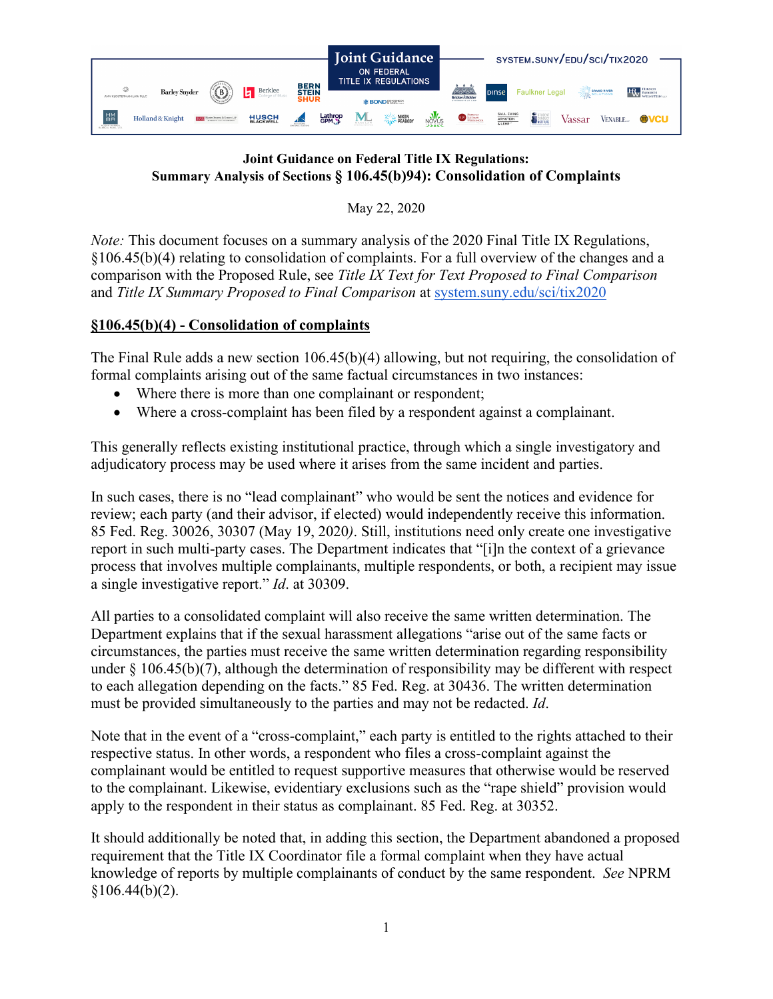

## **Joint Guidance on Federal Title IX Regulations: Summary Analysis of Sections § 106.45(b)94): Consolidation of Complaints**

May 22, 2020

*Note:* This document focuses on a summary analysis of the 2020 Final Title IX Regulations, §106.45(b)(4) relating to consolidation of complaints. For a full overview of the changes and a comparison with the Proposed Rule, see *Title IX Text for Text Proposed to Final Comparison*  and *Title IX Summary Proposed to Final Comparison* at [system.suny.edu/sci/tix2020](https://system.suny.edu/sci/tix2020/)

## **§106.45(b)(4) - Consolidation of complaints**

The Final Rule adds a new section 106.45(b)(4) allowing, but not requiring, the consolidation of formal complaints arising out of the same factual circumstances in two instances:

- Where there is more than one complainant or respondent;
- Where a cross-complaint has been filed by a respondent against a complainant.

This generally reflects existing institutional practice, through which a single investigatory and adjudicatory process may be used where it arises from the same incident and parties.

In such cases, there is no "lead complainant" who would be sent the notices and evidence for review; each party (and their advisor, if elected) would independently receive this information. 85 Fed. Reg. 30026, 30307 (May 19, 2020*)*. Still, institutions need only create one investigative report in such multi-party cases. The Department indicates that "[i]n the context of a grievance process that involves multiple complainants, multiple respondents, or both, a recipient may issue a single investigative report." *Id*. at 30309.

All parties to a consolidated complaint will also receive the same written determination. The Department explains that if the sexual harassment allegations "arise out of the same facts or circumstances, the parties must receive the same written determination regarding responsibility under  $\S$  106.45(b)(7), although the determination of responsibility may be different with respect to each allegation depending on the facts." 85 Fed. Reg. at 30436. The written determination must be provided simultaneously to the parties and may not be redacted. *Id*.

Note that in the event of a "cross-complaint," each party is entitled to the rights attached to their respective status. In other words, a respondent who files a cross-complaint against the complainant would be entitled to request supportive measures that otherwise would be reserved to the complainant. Likewise, evidentiary exclusions such as the "rape shield" provision would apply to the respondent in their status as complainant. 85 Fed. Reg. at 30352.

It should additionally be noted that, in adding this section, the Department abandoned a proposed requirement that the Title IX Coordinator file a formal complaint when they have actual knowledge of reports by multiple complainants of conduct by the same respondent. *See* NPRM  $$106.44(b)(2).$